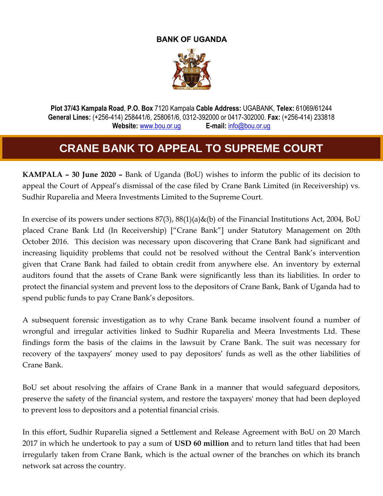## **BANK OF UGANDA**



**Plot 37/43 Kampala Road**, **P.O. Box** 7120 Kampala **Cable Address:** UGABANK, **Telex:** 61069/61244 **General Lines:** (+256-414) 258441/6, 258061/6, 0312-392000 or 0417-302000. **Fax:** (+256-414) 233818 **Website:** [www.bou.or.ug](http://www.bou.or.ug/) **E-mail:** [info@bou.or.ug](mailto:info@bou.or.ug)

## **CRANE BANK TO APPEAL TO SUPREME COURT**

**KAMPALA – 30 June 2020 –** Bank of Uganda (BoU) wishes to inform the public of its decision to appeal the Court of Appeal's dismissal of the case filed by Crane Bank Limited (in Receivership) vs. Sudhir Ruparelia and Meera Investments Limited to the Supreme Court.

In exercise of its powers under sections 87(3), 88(1)(a)&(b) of the Financial Institutions Act, 2004, BoU placed Crane Bank Ltd (In Receivership) ["Crane Bank"] under Statutory Management on 20th October 2016. This decision was necessary upon discovering that Crane Bank had significant and increasing liquidity problems that could not be resolved without the Central Bank's intervention given that Crane Bank had failed to obtain credit from anywhere else. An inventory by external auditors found that the assets of Crane Bank were significantly less than its liabilities. In order to protect the financial system and prevent loss to the depositors of Crane Bank, Bank of Uganda had to spend public funds to pay Crane Bank's depositors.

A subsequent forensic investigation as to why Crane Bank became insolvent found a number of wrongful and irregular activities linked to Sudhir Ruparelia and Meera Investments Ltd. These findings form the basis of the claims in the lawsuit by Crane Bank. The suit was necessary for recovery of the taxpayers' money used to pay depositors' funds as well as the other liabilities of Crane Bank.

BoU set about resolving the affairs of Crane Bank in a manner that would safeguard depositors, preserve the safety of the financial system, and restore the taxpayers' money that had been deployed to prevent loss to depositors and a potential financial crisis.

In this effort, Sudhir Ruparelia signed a Settlement and Release Agreement with BoU on 20 March 2017 in which he undertook to pay a sum of **USD 60 million** and to return land titles that had been irregularly taken from Crane Bank, which is the actual owner of the branches on which its branch network sat across the country.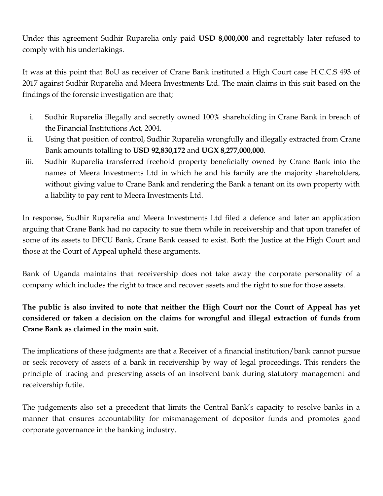Under this agreement Sudhir Ruparelia only paid **USD 8,000,000** and regrettably later refused to comply with his undertakings.

It was at this point that BoU as receiver of Crane Bank instituted a High Court case H.C.C.S 493 of 2017 against Sudhir Ruparelia and Meera Investments Ltd. The main claims in this suit based on the findings of the forensic investigation are that;

- i. Sudhir Ruparelia illegally and secretly owned 100% shareholding in Crane Bank in breach of the Financial Institutions Act, 2004.
- ii. Using that position of control, Sudhir Ruparelia wrongfully and illegally extracted from Crane Bank amounts totalling to **USD 92,830,172** and **UGX 8,277,000,000**.
- iii. Sudhir Ruparelia transferred freehold property beneficially owned by Crane Bank into the names of Meera Investments Ltd in which he and his family are the majority shareholders, without giving value to Crane Bank and rendering the Bank a tenant on its own property with a liability to pay rent to Meera Investments Ltd.

In response, Sudhir Ruparelia and Meera Investments Ltd filed a defence and later an application arguing that Crane Bank had no capacity to sue them while in receivership and that upon transfer of some of its assets to DFCU Bank, Crane Bank ceased to exist. Both the Justice at the High Court and those at the Court of Appeal upheld these arguments.

Bank of Uganda maintains that receivership does not take away the corporate personality of a company which includes the right to trace and recover assets and the right to sue for those assets.

## **The public is also invited to note that neither the High Court nor the Court of Appeal has yet considered or taken a decision on the claims for wrongful and illegal extraction of funds from Crane Bank as claimed in the main suit.**

The implications of these judgments are that a Receiver of a financial institution/bank cannot pursue or seek recovery of assets of a bank in receivership by way of legal proceedings. This renders the principle of tracing and preserving assets of an insolvent bank during statutory management and receivership futile.

The judgements also set a precedent that limits the Central Bank's capacity to resolve banks in a manner that ensures accountability for mismanagement of depositor funds and promotes good corporate governance in the banking industry.